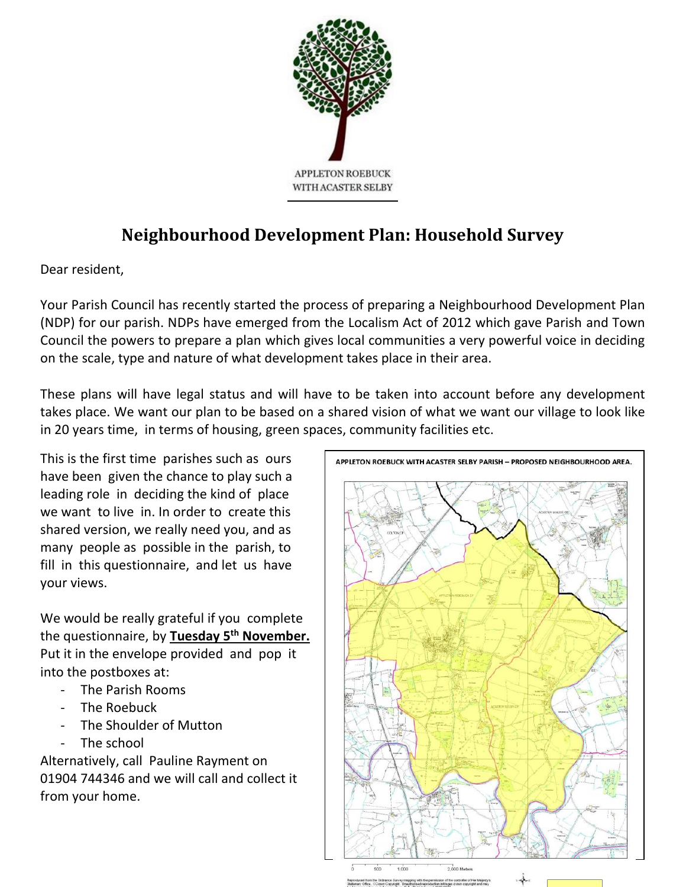

# **Neighbourhood Development Plan: Household Survey**

Dear resident,

Your Parish Council has recently started the process of preparing a Neighbourhood Development Plan (NDP) for our parish. NDPs have emerged from the Localism Act of 2012 which gave Parish and Town Council the powers to prepare a plan which gives local communities a very powerful voice in deciding on the scale, type and nature of what development takes place in their area.

These plans will have legal status and will have to be taken into account before any development takes place. We want our plan to be based on a shared vision of what we want our village to look like in 20 years time, in terms of housing, green spaces, community facilities etc.

This is the first time parishes such as ours have been given the chance to play such a leading role in deciding the kind of place we want to live in. In order to create this shared version, we really need you, and as many people as possible in the parish, to fill in this questionnaire, and let us have your views.

We would be really grateful if you complete the questionnaire, by **Tuesday 5 th November.** Put it in the envelope provided and pop it into the postboxes at:

- The Parish Rooms
- The Roebuck
- The Shoulder of Mutton
- The school

Alternatively, call Pauline Rayment on 01904 744346 and we will call and collect it from your home.

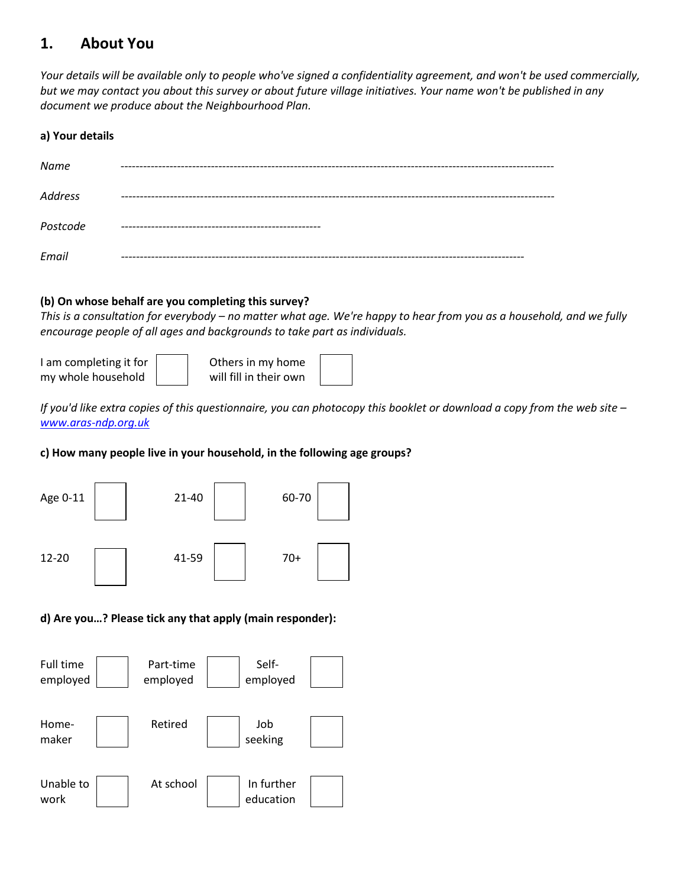# **1. About You**

*Your details will be available only to people who've signed a confidentiality agreement, and won't be used commercially, but we may contact you about this survey or about future village initiatives. Your name won't be published in any document we produce about the Neighbourhood Plan.*

### **a) Your details**

| Name           |                      |
|----------------|----------------------|
|                |                      |
| <b>Address</b> |                      |
| Postcode       | -------------------- |
| Email          |                      |

## **(b) On whose behalf are you completing this survey?**

*This is a consultation for everybody – no matter what age. We're happy to hear from you as a household, and we fully encourage people of all ages and backgrounds to take part as individuals.* 

| I am completing it for | Others in my home      |  |
|------------------------|------------------------|--|
| my whole household     | will fill in their own |  |

*If you'd like extra copies of this questionnaire, you can photocopy this booklet or download a copy from the web site – [www.aras-ndp.org.uk](http://www.aras-ndp.org.uk/)*

## **c) How many people live in your household, in the following age groups?**



## **d) Are you…? Please tick any that apply (main responder):**

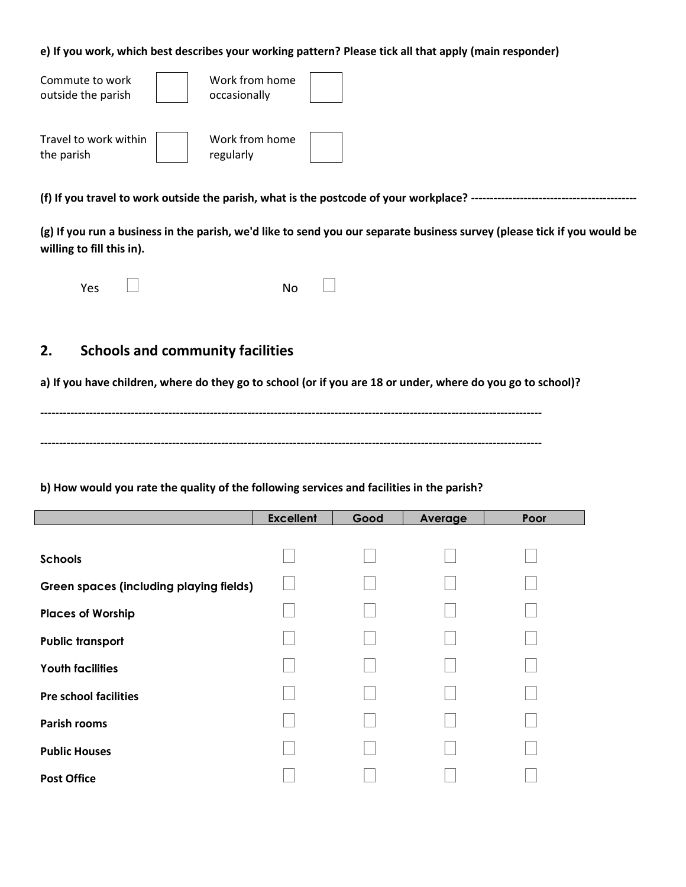#### **e) If you work, which best describes your working pattern? Please tick all that apply (main responder)**

| Commute to work<br>outside the parish | Work from home<br>occasionally |  |
|---------------------------------------|--------------------------------|--|
| Travel to work within<br>the parish   | Work from home<br>regularly    |  |

**(f) If you travel to work outside the parish, what is the postcode of your workplace? --------------------------------------------**

**(g) If you run a business in the parish, we'd like to send you our separate business survey (please tick if you would be willing to fill this in).**

| Yes | <b>No</b> |  |
|-----|-----------|--|
|     |           |  |

# **2. Schools and community facilities**

**a) If you have children, where do they go to school (or if you are 18 or under, where do you go to school)?** 

**------------------------------------------------------------------------------------------------------------------------------------- -------------------------------------------------------------------------------------------------------------------------------------**

**b) How would you rate the quality of the following services and facilities in the parish?**

|                                                | <b>Excellent</b> | Good | Average | Poor |
|------------------------------------------------|------------------|------|---------|------|
|                                                |                  |      |         |      |
| <b>Schools</b>                                 |                  |      |         |      |
| <b>Green spaces (including playing fields)</b> |                  |      |         |      |
| <b>Places of Worship</b>                       |                  |      |         |      |
| <b>Public transport</b>                        |                  |      |         |      |
| <b>Youth facilities</b>                        |                  |      |         |      |
| <b>Pre school facilities</b>                   |                  |      |         |      |
| <b>Parish rooms</b>                            |                  |      |         |      |
| <b>Public Houses</b>                           |                  |      |         |      |
| <b>Post Office</b>                             |                  |      |         |      |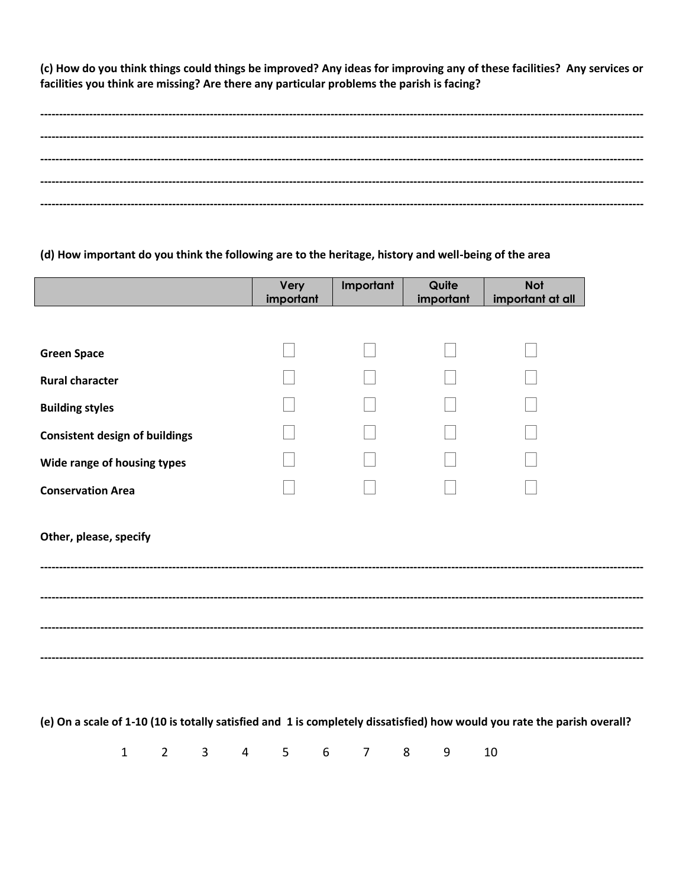(c) How do you think things could things be improved? Any ideas for improving any of these facilities? Any services or facilities you think are missing? Are there any particular problems the parish is facing?

#### (d) How important do you think the following are to the heritage, history and well-being of the area

|                                       | Very<br>important | Important | Quite<br>important | <b>Not</b><br>important at all |               |
|---------------------------------------|-------------------|-----------|--------------------|--------------------------------|---------------|
|                                       |                   |           |                    |                                |               |
| <b>Green Space</b>                    |                   |           |                    |                                |               |
| <b>Rural character</b>                |                   |           |                    |                                |               |
| <b>Building styles</b>                |                   |           |                    |                                |               |
| <b>Consistent design of buildings</b> |                   |           |                    |                                |               |
| Wide range of housing types           |                   |           |                    |                                |               |
| <b>Conservation Area</b>              |                   |           |                    |                                |               |
| Other, please, specify                |                   |           |                    |                                |               |
|                                       |                   |           |                    |                                |               |
|                                       |                   |           |                    |                                |               |
|                                       |                   |           |                    |                                | ------------- |
|                                       |                   |           |                    |                                |               |

(e) On a scale of 1-10 (10 is totally satisfied and 1 is completely dissatisfied) how would you rate the parish overall?

 $\mathbf{1}$  $2^{\circ}$  $\overline{3}$  $\overline{4}$  $5<sup>1</sup>$  $6\phantom{1}$  $\overline{7}$ 8 9 10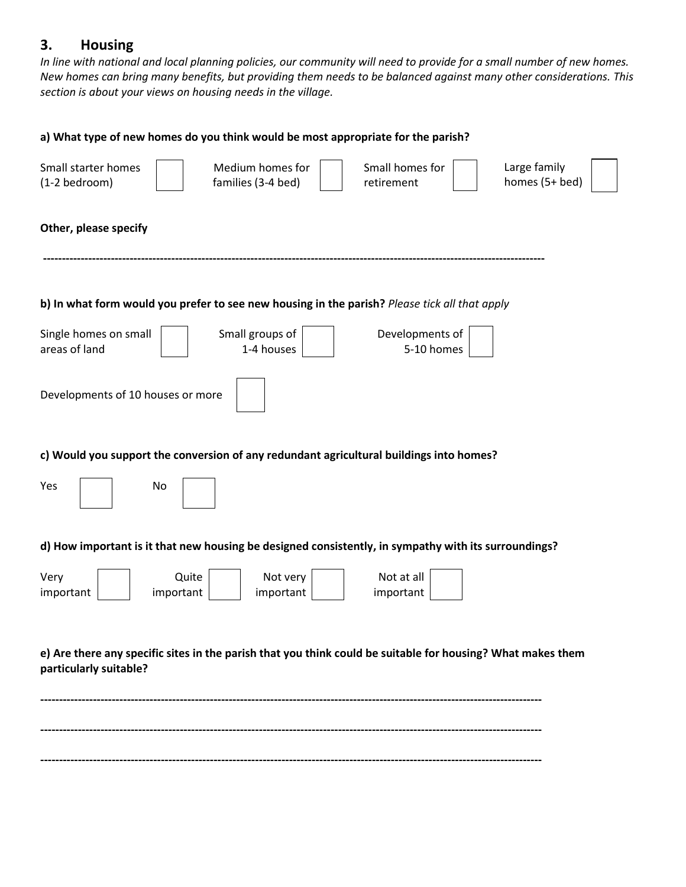# **3. Housing**

*In line with national and local planning policies, our community will need to provide for a small number of new homes. New homes can bring many benefits, but providing them needs to be balanced against many other considerations. This section is about your views on housing needs in the village.*

| a) What type of new homes do you think would be most appropriate for the parish?                                                                  |
|---------------------------------------------------------------------------------------------------------------------------------------------------|
| Medium homes for<br>Large family<br>Small starter homes<br>Small homes for<br>homes (5+ bed)<br>families (3-4 bed)<br>(1-2 bedroom)<br>retirement |
| Other, please specify                                                                                                                             |
| b) In what form would you prefer to see new housing in the parish? Please tick all that apply                                                     |
| Small groups of<br>Single homes on small<br>Developments of<br>areas of land<br>1-4 houses<br>5-10 homes                                          |
| Developments of 10 houses or more                                                                                                                 |
| c) Would you support the conversion of any redundant agricultural buildings into homes?                                                           |
| Yes<br>No                                                                                                                                         |
| d) How important is it that new housing be designed consistently, in sympathy with its surroundings?                                              |
| Quite<br>Not at all<br>Very<br>Not very<br>important<br>important<br>important<br>important                                                       |
| e) Are there any specific sites in the parish that you think could be suitable for housing? What makes them<br>particularly suitable?             |
|                                                                                                                                                   |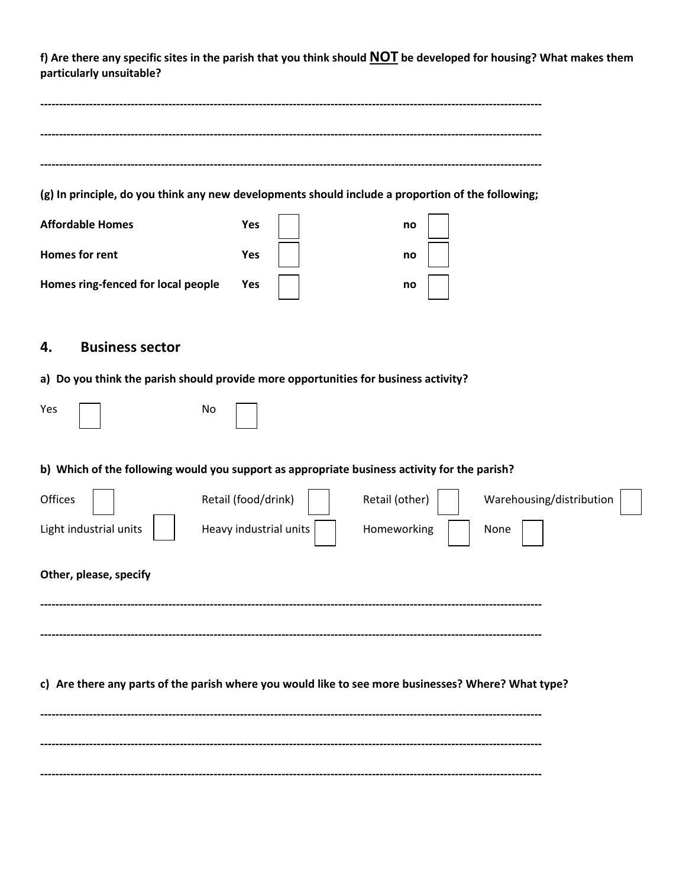**f) Are there any specific sites in the parish that you think should NOT be developed for housing? What makes them particularly unsuitable?**

| (g) In principle, do you think any new developments should include a proportion of the following; |     |  |    |  |  |
|---------------------------------------------------------------------------------------------------|-----|--|----|--|--|
| <b>Affordable Homes</b>                                                                           | Yes |  | no |  |  |
| <b>Homes for rent</b>                                                                             | Yes |  | no |  |  |
| Homes ring-fenced for local people                                                                | Yes |  | no |  |  |

# **4. Business sector**

## **a) Do you think the parish should provide more opportunities for business activity?**

| Yes                    | No                                                                                                  |
|------------------------|-----------------------------------------------------------------------------------------------------|
|                        | b) Which of the following would you support as appropriate business activity for the parish?        |
| Offices                | Retail (food/drink)<br>Retail (other)<br>Warehousing/distribution                                   |
| Light industrial units | Heavy industrial units<br>Homeworking<br>None                                                       |
| Other, please, specify |                                                                                                     |
|                        | c) Are there any parts of the parish where you would like to see more businesses? Where? What type? |
|                        |                                                                                                     |